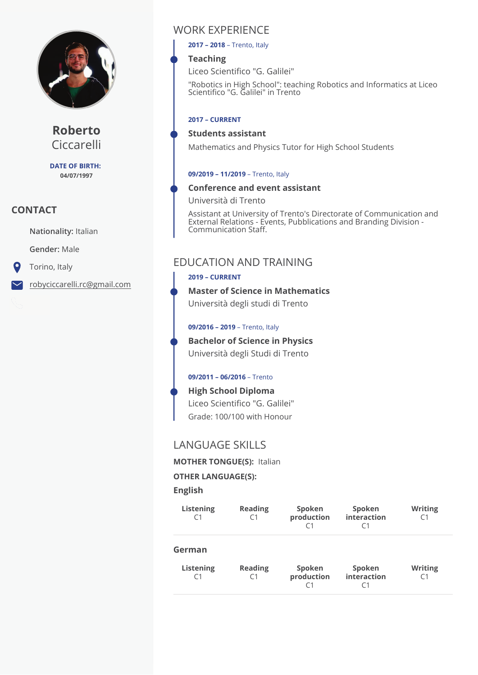

**Roberto** Ciccarelli

**DATE OF BIRTH: 04/07/1997**

# **CONTACT**

**Nationality:** Italian

**Gender:** Male

Torino, Italy

robyciccarelli.rc@gmail.com

# WORK EXPERIENCE

**2017 – 2018** – Trento, Italy

## **Teaching**

Liceo Scientifico "G. Galilei"

"Robotics in High School": teaching Robotics and Informatics at Liceo Scientico "G. Galilei" in Trento

#### **2017 – CURRENT**

#### **Students assistant**

Mathematics and Physics Tutor for High School Students

#### **09/2019 – 11/2019** – Trento, Italy

#### **Conference and event assistant**

Università di Trento

Assistant at University of Trento's Directorate of Communication and External Relations - Events, Pubblications and Branding Division - Communication Staff.

# EDUCATION AND TRAINING

#### **2019 – CURRENT**

**Master of Science in Mathematics**  Università degli studi di Trento

**09/2016 – 2019** – Trento, Italy

**Bachelor of Science in Physics**  Università degli Studi di Trento

#### **09/2011 – 06/2016** – Trento

Grade: 100/100 with Honour **High School Diploma**  Liceo Scientifico "G. Galilei"

# LANGUAGE SKILLS

**MOTHER TONGUE(S):** Italian

#### **OTHER LANGUAGE(S):**

**English** 

| Listening<br>C1                           | <b>Reading</b><br>۲1 | Spoken<br>production<br>C <sub>1</sub> | Spoken<br>interaction<br>C1 | <b>Writing</b><br>C1 |
|-------------------------------------------|----------------------|----------------------------------------|-----------------------------|----------------------|
| German<br>Listening<br>$\mathsf{\Gamma}1$ | <b>Reading</b>       | Spoken<br>production<br>C <sub>1</sub> | Spoken<br>interaction<br>C1 | <b>Writing</b>       |